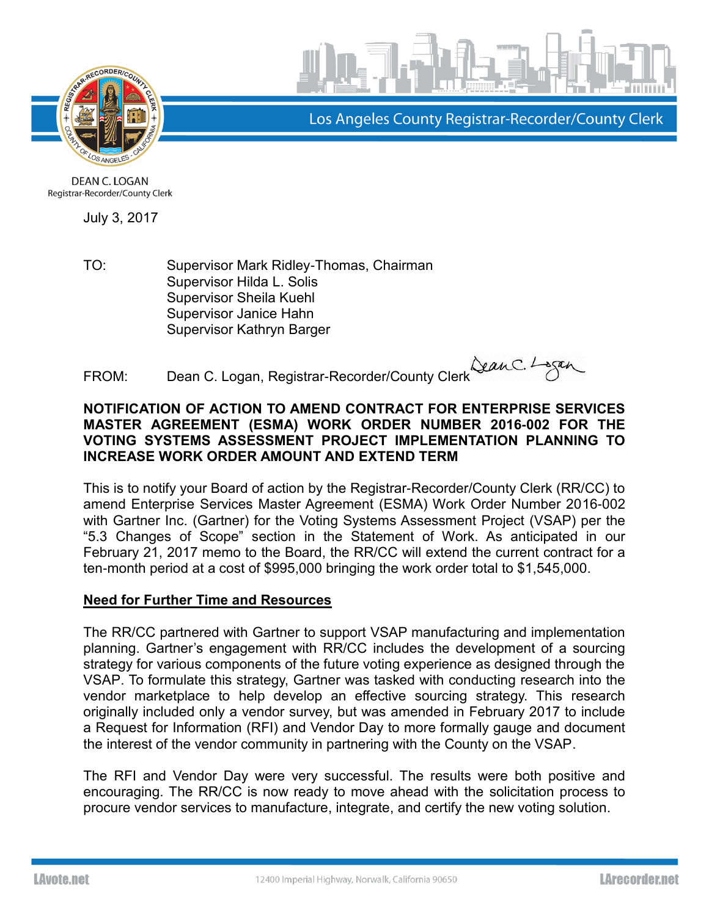



Los Angeles County Registrar-Recorder/County Clerk

DEAN C. LOGAN Registrar-Recorder/County Clerk

July 3, 2017

TO: Supervisor Mark Ridley-Thomas, Chairman Supervisor Hilda L. Solis Supervisor Sheila Kuehl Supervisor Janice Hahn Supervisor Kathryn Barger

FROM: Dean C. Logan, Registrar-Recorder/County Clerk Lean C. Logan, Registrar-Recorder/County Clerk

## **NOTIFICATION OF ACTION TO AMEND CONTRACT FOR ENTERPRISE SERVICES MASTER AGREEMENT (ESMA) WORK ORDER NUMBER 2016-002 FOR THE VOTING SYSTEMS ASSESSMENT PROJECT IMPLEMENTATION PLANNING TO INCREASE WORK ORDER AMOUNT AND EXTEND TERM**

This is to notify your Board of action by the Registrar-Recorder/County Clerk (RR/CC) to amend Enterprise Services Master Agreement (ESMA) Work Order Number 2016-002 with Gartner Inc. (Gartner) for the Voting Systems Assessment Project (VSAP) per the "5.3 Changes of Scope" section in the Statement of Work. As anticipated in our February 21, 2017 memo to the Board, the RR/CC will extend the current contract for a ten-month period at a cost of \$995,000 bringing the work order total to \$1,545,000.

## **Need for Further Time and Resources**

The RR/CC partnered with Gartner to support VSAP manufacturing and implementation planning. Gartner's engagement with RR/CC includes the development of a sourcing strategy for various components of the future voting experience as designed through the VSAP. To formulate this strategy, Gartner was tasked with conducting research into the vendor marketplace to help develop an effective sourcing strategy. This research originally included only a vendor survey, but was amended in February 2017 to include a Request for Information (RFI) and Vendor Day to more formally gauge and document the interest of the vendor community in partnering with the County on the VSAP.

The RFI and Vendor Day were very successful. The results were both positive and encouraging. The RR/CC is now ready to move ahead with the solicitation process to procure vendor services to manufacture, integrate, and certify the new voting solution.